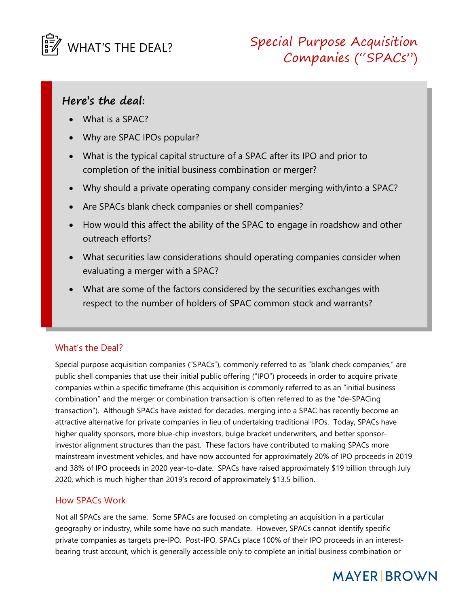

## Here's the deal:

- What is a SPAC?
- Why are SPAC IPOs popular?
- What is the typical capital structure of a SPAC after its IPO and prior to completion of the initial business combination or merger?
- Why should a private operating company consider merging with/into a SPAC?
- Are SPACs blank check companies or shell companies?
- How would this affect the ability of the SPAC to engage in roadshow and other outreach efforts?
- What securities law considerations should operating companies consider when evaluating a merger with a SPAC?
- What are some of the factors considered by the securities exchanges with respect to the number of holders of SPAC common stock and warrants?

## What's the Deal?

Special purpose acquisition companies ("SPACs"), commonly referred to as "blank check companies," are public shell companies that use their initial public offering ("IPO") proceeds in order to acquire private companies within a specific timeframe (this acquisition is commonly referred to as an "initial business combination" and the merger or combination transaction is often referred to as the "de-SPACing transaction"). Although SPACs have existed for decades, merging into a SPAC has recently become an attractive alternative for private companies in lieu of undertaking traditional IPOs. Today, SPACs have higher quality sponsors, more blue-chip investors, bulge bracket underwriters, and better sponsorinvestor alignment structures than the past. These factors have contributed to making SPACs more mainstream investment vehicles, and have now accounted for approximately 20% of IPO proceeds in 2019 and 38% of IPO proceeds in 2020 year-to-date. SPACs have raised approximately \$19 billion through July 2020, which is much higher than 2019's record of approximately \$13.5 billion.

## How SPACs Work

Not all SPACs are the same. Some SPACs are focused on completing an acquisition in a particular geography or industry, while some have no such mandate. However, SPACs cannot identify specific private companies as targets pre-IPO. Post-IPO, SPACs place 100% of their IPO proceeds in an interestbearing trust account, which is generally accessible only to complete an initial business combination or

# **MAYER BROWN**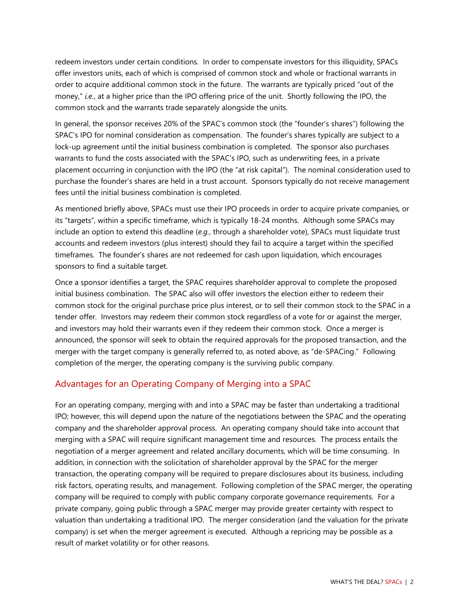redeem investors under certain conditions. In order to compensate investors for this illiquidity, SPACs offer investors units, each of which is comprised of common stock and whole or fractional warrants in order to acquire additional common stock in the future. The warrants are typically priced "out of the money," i.e., at a higher price than the IPO offering price of the unit. Shortly following the IPO, the common stock and the warrants trade separately alongside the units.

In general, the sponsor receives 20% of the SPAC's common stock (the "founder's shares") following the SPAC's IPO for nominal consideration as compensation. The founder's shares typically are subject to a lock-up agreement until the initial business combination is completed. The sponsor also purchases warrants to fund the costs associated with the SPAC's IPO, such as underwriting fees, in a private placement occurring in conjunction with the IPO (the "at risk capital"). The nominal consideration used to purchase the founder's shares are held in a trust account. Sponsors typically do not receive management fees until the initial business combination is completed.

As mentioned briefly above, SPACs must use their IPO proceeds in order to acquire private companies, or its "targets", within a specific timeframe, which is typically 18-24 months. Although some SPACs may include an option to extend this deadline (e.g., through a shareholder vote), SPACs must liquidate trust accounts and redeem investors (plus interest) should they fail to acquire a target within the specified timeframes. The founder's shares are not redeemed for cash upon liquidation, which encourages sponsors to find a suitable target.

Once a sponsor identifies a target, the SPAC requires shareholder approval to complete the proposed initial business combination. The SPAC also will offer investors the election either to redeem their common stock for the original purchase price plus interest, or to sell their common stock to the SPAC in a tender offer. Investors may redeem their common stock regardless of a vote for or against the merger, and investors may hold their warrants even if they redeem their common stock. Once a merger is announced, the sponsor will seek to obtain the required approvals for the proposed transaction, and the merger with the target company is generally referred to, as noted above, as "de-SPACing." Following completion of the merger, the operating company is the surviving public company.

## Advantages for an Operating Company of Merging into a SPAC

For an operating company, merging with and into a SPAC may be faster than undertaking a traditional IPO; however, this will depend upon the nature of the negotiations between the SPAC and the operating company and the shareholder approval process. An operating company should take into account that merging with a SPAC will require significant management time and resources. The process entails the negotiation of a merger agreement and related ancillary documents, which will be time consuming. In addition, in connection with the solicitation of shareholder approval by the SPAC for the merger transaction, the operating company will be required to prepare disclosures about its business, including risk factors, operating results, and management. Following completion of the SPAC merger, the operating company will be required to comply with public company corporate governance requirements. For a private company, going public through a SPAC merger may provide greater certainty with respect to valuation than undertaking a traditional IPO. The merger consideration (and the valuation for the private company) is set when the merger agreement is executed. Although a repricing may be possible as a result of market volatility or for other reasons.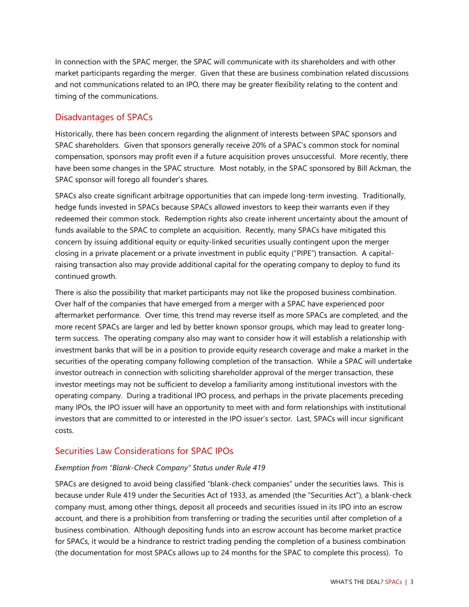In connection with the SPAC merger, the SPAC will communicate with its shareholders and with other market participants regarding the merger. Given that these are business combination related discussions and not communications related to an IPO, there may be greater flexibility relating to the content and timing of the communications.

#### Disadvantages of SPACs

Historically, there has been concern regarding the alignment of interests between SPAC sponsors and SPAC shareholders. Given that sponsors generally receive 20% of a SPAC's common stock for nominal compensation, sponsors may profit even if a future acquisition proves unsuccessful. More recently, there have been some changes in the SPAC structure. Most notably, in the SPAC sponsored by Bill Ackman, the SPAC sponsor will forego all founder's shares.

SPACs also create significant arbitrage opportunities that can impede long-term investing. Traditionally, hedge funds invested in SPACs because SPACs allowed investors to keep their warrants even if they redeemed their common stock. Redemption rights also create inherent uncertainty about the amount of funds available to the SPAC to complete an acquisition. Recently, many SPACs have mitigated this concern by issuing additional equity or equity-linked securities usually contingent upon the merger closing in a private placement or a private investment in public equity ("PIPE") transaction. A capitalraising transaction also may provide additional capital for the operating company to deploy to fund its continued growth.

There is also the possibility that market participants may not like the proposed business combination. Over half of the companies that have emerged from a merger with a SPAC have experienced poor aftermarket performance. Over time, this trend may reverse itself as more SPACs are completed, and the more recent SPACs are larger and led by better known sponsor groups, which may lead to greater longterm success. The operating company also may want to consider how it will establish a relationship with investment banks that will be in a position to provide equity research coverage and make a market in the securities of the operating company following completion of the transaction. While a SPAC will undertake investor outreach in connection with soliciting shareholder approval of the merger transaction, these investor meetings may not be sufficient to develop a familiarity among institutional investors with the operating company. During a traditional IPO process, and perhaps in the private placements preceding many IPOs, the IPO issuer will have an opportunity to meet with and form relationships with institutional investors that are committed to or interested in the IPO issuer's sector. Last, SPACs will incur significant costs.

### Securities Law Considerations for SPAC IPOs

#### Exemption from "Blank-Check Company" Status under Rule 419

SPACs are designed to avoid being classified "blank-check companies" under the securities laws. This is because under Rule 419 under the Securities Act of 1933, as amended (the "Securities Act"), a blank-check company must, among other things, deposit all proceeds and securities issued in its IPO into an escrow account, and there is a prohibition from transferring or trading the securities until after completion of a business combination. Although depositing funds into an escrow account has become market practice for SPACs, it would be a hindrance to restrict trading pending the completion of a business combination (the documentation for most SPACs allows up to 24 months for the SPAC to complete this process). To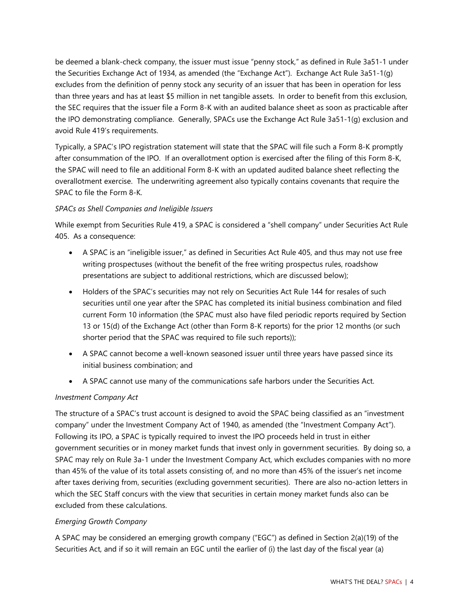be deemed a blank-check company, the issuer must issue "penny stock," as defined in Rule 3a51-1 under the Securities Exchange Act of 1934, as amended (the "Exchange Act"). Exchange Act Rule 3a51-1(g) excludes from the definition of penny stock any security of an issuer that has been in operation for less than three years and has at least \$5 million in net tangible assets. In order to benefit from this exclusion, the SEC requires that the issuer file a Form 8-K with an audited balance sheet as soon as practicable after the IPO demonstrating compliance. Generally, SPACs use the Exchange Act Rule 3a51-1(g) exclusion and avoid Rule 419's requirements.

Typically, a SPAC's IPO registration statement will state that the SPAC will file such a Form 8-K promptly after consummation of the IPO. If an overallotment option is exercised after the filing of this Form 8-K, the SPAC will need to file an additional Form 8-K with an updated audited balance sheet reflecting the overallotment exercise. The underwriting agreement also typically contains covenants that require the SPAC to file the Form 8-K.

#### SPACs as Shell Companies and Ineligible Issuers

While exempt from Securities Rule 419, a SPAC is considered a "shell company" under Securities Act Rule 405. As a consequence:

- A SPAC is an "ineligible issuer," as defined in Securities Act Rule 405, and thus may not use free writing prospectuses (without the benefit of the free writing prospectus rules, roadshow presentations are subject to additional restrictions, which are discussed below);
- Holders of the SPAC's securities may not rely on Securities Act Rule 144 for resales of such securities until one year after the SPAC has completed its initial business combination and filed current Form 10 information (the SPAC must also have filed periodic reports required by Section 13 or 15(d) of the Exchange Act (other than Form 8-K reports) for the prior 12 months (or such shorter period that the SPAC was required to file such reports));
- A SPAC cannot become a well-known seasoned issuer until three years have passed since its initial business combination; and
- A SPAC cannot use many of the communications safe harbors under the Securities Act.

#### Investment Company Act

The structure of a SPAC's trust account is designed to avoid the SPAC being classified as an "investment company" under the Investment Company Act of 1940, as amended (the "Investment Company Act"). Following its IPO, a SPAC is typically required to invest the IPO proceeds held in trust in either government securities or in money market funds that invest only in government securities. By doing so, a SPAC may rely on Rule 3a-1 under the Investment Company Act, which excludes companies with no more than 45% of the value of its total assets consisting of, and no more than 45% of the issuer's net income after taxes deriving from, securities (excluding government securities). There are also no-action letters in which the SEC Staff concurs with the view that securities in certain money market funds also can be excluded from these calculations.

#### Emerging Growth Company

A SPAC may be considered an emerging growth company ("EGC") as defined in Section 2(a)(19) of the Securities Act, and if so it will remain an EGC until the earlier of (i) the last day of the fiscal year (a)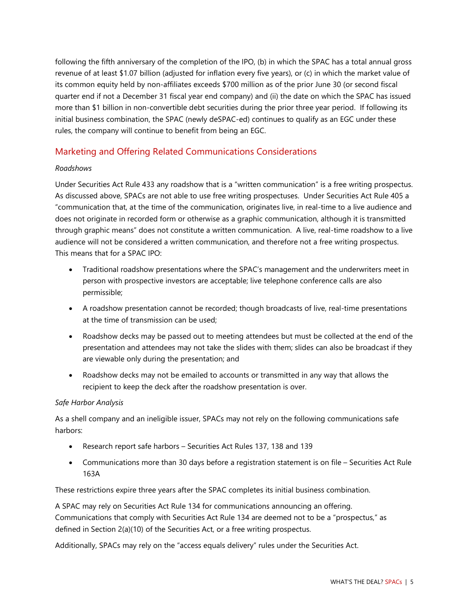following the fifth anniversary of the completion of the IPO, (b) in which the SPAC has a total annual gross revenue of at least \$1.07 billion (adjusted for inflation every five years), or (c) in which the market value of its common equity held by non-affiliates exceeds \$700 million as of the prior June 30 (or second fiscal quarter end if not a December 31 fiscal year end company) and (ii) the date on which the SPAC has issued more than \$1 billion in non-convertible debt securities during the prior three year period. If following its initial business combination, the SPAC (newly deSPAC-ed) continues to qualify as an EGC under these rules, the company will continue to benefit from being an EGC.

## Marketing and Offering Related Communications Considerations

#### Roadshows

Under Securities Act Rule 433 any roadshow that is a "written communication" is a free writing prospectus. As discussed above, SPACs are not able to use free writing prospectuses. Under Securities Act Rule 405 a "communication that, at the time of the communication, originates live, in real-time to a live audience and does not originate in recorded form or otherwise as a graphic communication, although it is transmitted through graphic means" does not constitute a written communication. A live, real-time roadshow to a live audience will not be considered a written communication, and therefore not a free writing prospectus. This means that for a SPAC IPO:

- Traditional roadshow presentations where the SPAC's management and the underwriters meet in person with prospective investors are acceptable; live telephone conference calls are also permissible;
- A roadshow presentation cannot be recorded; though broadcasts of live, real-time presentations at the time of transmission can be used;
- Roadshow decks may be passed out to meeting attendees but must be collected at the end of the presentation and attendees may not take the slides with them; slides can also be broadcast if they are viewable only during the presentation; and
- Roadshow decks may not be emailed to accounts or transmitted in any way that allows the recipient to keep the deck after the roadshow presentation is over.

#### Safe Harbor Analysis

As a shell company and an ineligible issuer, SPACs may not rely on the following communications safe harbors:

- Research report safe harbors Securities Act Rules 137, 138 and 139
- Communications more than 30 days before a registration statement is on file Securities Act Rule 163A

These restrictions expire three years after the SPAC completes its initial business combination.

A SPAC may rely on Securities Act Rule 134 for communications announcing an offering. Communications that comply with Securities Act Rule 134 are deemed not to be a "prospectus," as defined in Section 2(a)(10) of the Securities Act, or a free writing prospectus.

Additionally, SPACs may rely on the "access equals delivery" rules under the Securities Act.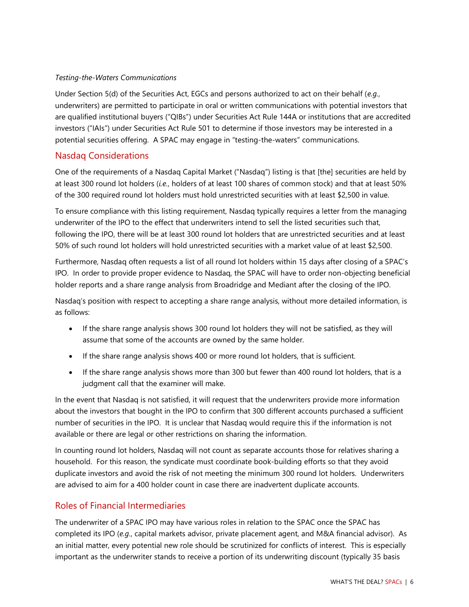#### Testing-the-Waters Communications

Under Section 5(d) of the Securities Act, EGCs and persons authorized to act on their behalf (e.g., underwriters) are permitted to participate in oral or written communications with potential investors that are qualified institutional buyers ("QIBs") under Securities Act Rule 144A or institutions that are accredited investors ("IAIs") under Securities Act Rule 501 to determine if those investors may be interested in a potential securities offering. A SPAC may engage in "testing-the-waters" communications.

## Nasdaq Considerations

One of the requirements of a Nasdaq Capital Market ("Nasdaq") listing is that [the] securities are held by at least 300 round lot holders (i.e., holders of at least 100 shares of common stock) and that at least 50% of the 300 required round lot holders must hold unrestricted securities with at least \$2,500 in value.

To ensure compliance with this listing requirement, Nasdaq typically requires a letter from the managing underwriter of the IPO to the effect that underwriters intend to sell the listed securities such that, following the IPO, there will be at least 300 round lot holders that are unrestricted securities and at least 50% of such round lot holders will hold unrestricted securities with a market value of at least \$2,500.

Furthermore, Nasdaq often requests a list of all round lot holders within 15 days after closing of a SPAC's IPO. In order to provide proper evidence to Nasdaq, the SPAC will have to order non-objecting beneficial holder reports and a share range analysis from Broadridge and Mediant after the closing of the IPO.

Nasdaq's position with respect to accepting a share range analysis, without more detailed information, is as follows:

- If the share range analysis shows 300 round lot holders they will not be satisfied, as they will assume that some of the accounts are owned by the same holder.
- If the share range analysis shows 400 or more round lot holders, that is sufficient.
- If the share range analysis shows more than 300 but fewer than 400 round lot holders, that is a judgment call that the examiner will make.

In the event that Nasdaq is not satisfied, it will request that the underwriters provide more information about the investors that bought in the IPO to confirm that 300 different accounts purchased a sufficient number of securities in the IPO. It is unclear that Nasdaq would require this if the information is not available or there are legal or other restrictions on sharing the information.

In counting round lot holders, Nasdaq will not count as separate accounts those for relatives sharing a household. For this reason, the syndicate must coordinate book-building efforts so that they avoid duplicate investors and avoid the risk of not meeting the minimum 300 round lot holders. Underwriters are advised to aim for a 400 holder count in case there are inadvertent duplicate accounts.

## Roles of Financial Intermediaries

The underwriter of a SPAC IPO may have various roles in relation to the SPAC once the SPAC has completed its IPO (e.g., capital markets advisor, private placement agent, and M&A financial advisor). As an initial matter, every potential new role should be scrutinized for conflicts of interest. This is especially important as the underwriter stands to receive a portion of its underwriting discount (typically 35 basis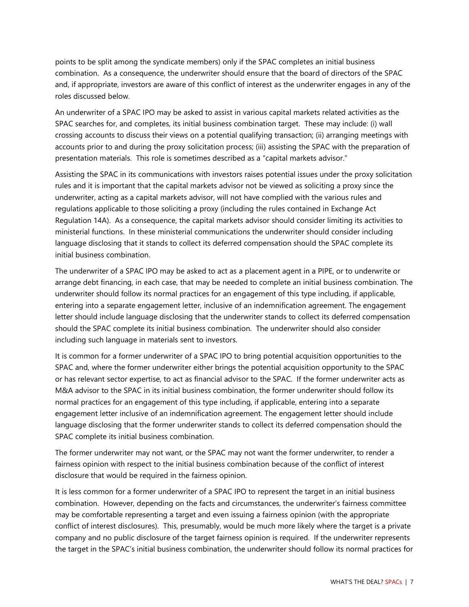points to be split among the syndicate members) only if the SPAC completes an initial business combination. As a consequence, the underwriter should ensure that the board of directors of the SPAC and, if appropriate, investors are aware of this conflict of interest as the underwriter engages in any of the roles discussed below.

An underwriter of a SPAC IPO may be asked to assist in various capital markets related activities as the SPAC searches for, and completes, its initial business combination target. These may include: (i) wall crossing accounts to discuss their views on a potential qualifying transaction; (ii) arranging meetings with accounts prior to and during the proxy solicitation process; (iii) assisting the SPAC with the preparation of presentation materials. This role is sometimes described as a "capital markets advisor."

Assisting the SPAC in its communications with investors raises potential issues under the proxy solicitation rules and it is important that the capital markets advisor not be viewed as soliciting a proxy since the underwriter, acting as a capital markets advisor, will not have complied with the various rules and regulations applicable to those soliciting a proxy (including the rules contained in Exchange Act Regulation 14A). As a consequence, the capital markets advisor should consider limiting its activities to ministerial functions. In these ministerial communications the underwriter should consider including language disclosing that it stands to collect its deferred compensation should the SPAC complete its initial business combination.

The underwriter of a SPAC IPO may be asked to act as a placement agent in a PIPE, or to underwrite or arrange debt financing, in each case, that may be needed to complete an initial business combination. The underwriter should follow its normal practices for an engagement of this type including, if applicable, entering into a separate engagement letter, inclusive of an indemnification agreement. The engagement letter should include language disclosing that the underwriter stands to collect its deferred compensation should the SPAC complete its initial business combination. The underwriter should also consider including such language in materials sent to investors.

It is common for a former underwriter of a SPAC IPO to bring potential acquisition opportunities to the SPAC and, where the former underwriter either brings the potential acquisition opportunity to the SPAC or has relevant sector expertise, to act as financial advisor to the SPAC. If the former underwriter acts as M&A advisor to the SPAC in its initial business combination, the former underwriter should follow its normal practices for an engagement of this type including, if applicable, entering into a separate engagement letter inclusive of an indemnification agreement. The engagement letter should include language disclosing that the former underwriter stands to collect its deferred compensation should the SPAC complete its initial business combination.

The former underwriter may not want, or the SPAC may not want the former underwriter, to render a fairness opinion with respect to the initial business combination because of the conflict of interest disclosure that would be required in the fairness opinion.

It is less common for a former underwriter of a SPAC IPO to represent the target in an initial business combination. However, depending on the facts and circumstances, the underwriter's fairness committee may be comfortable representing a target and even issuing a fairness opinion (with the appropriate conflict of interest disclosures). This, presumably, would be much more likely where the target is a private company and no public disclosure of the target fairness opinion is required. If the underwriter represents the target in the SPAC's initial business combination, the underwriter should follow its normal practices for